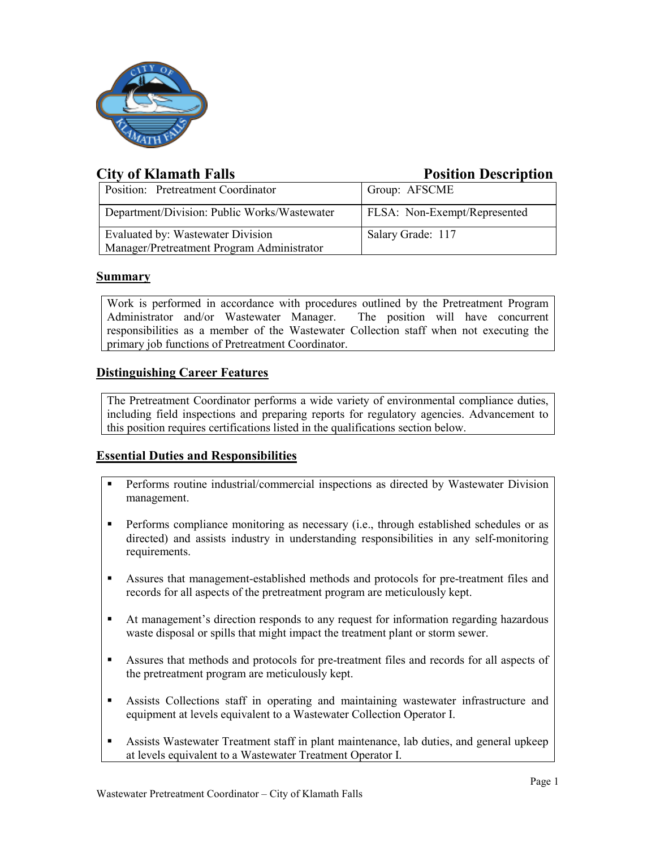

# **City of Klamath Falls Position Description**

| Position: Pretreatment Coordinator           | Group: AFSCME                       |
|----------------------------------------------|-------------------------------------|
| Department/Division: Public Works/Wastewater | <b>FLSA:</b> Non-Exempt/Represented |
| Evaluated by: Wastewater Division            | Salary Grade: 117                   |
| Manager/Pretreatment Program Administrator   |                                     |

# **Summary**

Work is performed in accordance with procedures outlined by the Pretreatment Program Administrator and/or Wastewater Manager. The position will have concurrent responsibilities as a member of the Wastewater Collection staff when not executing the primary job functions of Pretreatment Coordinator.

# **Distinguishing Career Features**

The Pretreatment Coordinator performs a wide variety of environmental compliance duties, including field inspections and preparing reports for regulatory agencies. Advancement to this position requires certifications listed in the qualifications section below.

# **Essential Duties and Responsibilities**

- Performs routine industrial/commercial inspections as directed by Wastewater Division management.
- **Performs compliance monitoring as necessary (i.e., through established schedules or as** directed) and assists industry in understanding responsibilities in any self-monitoring requirements.
- Assures that management-established methods and protocols for pre-treatment files and records for all aspects of the pretreatment program are meticulously kept.
- At management's direction responds to any request for information regarding hazardous waste disposal or spills that might impact the treatment plant or storm sewer.
- Assures that methods and protocols for pre-treatment files and records for all aspects of the pretreatment program are meticulously kept.
- Assists Collections staff in operating and maintaining wastewater infrastructure and equipment at levels equivalent to a Wastewater Collection Operator I.
- Assists Wastewater Treatment staff in plant maintenance, lab duties, and general upkeep at levels equivalent to a Wastewater Treatment Operator I.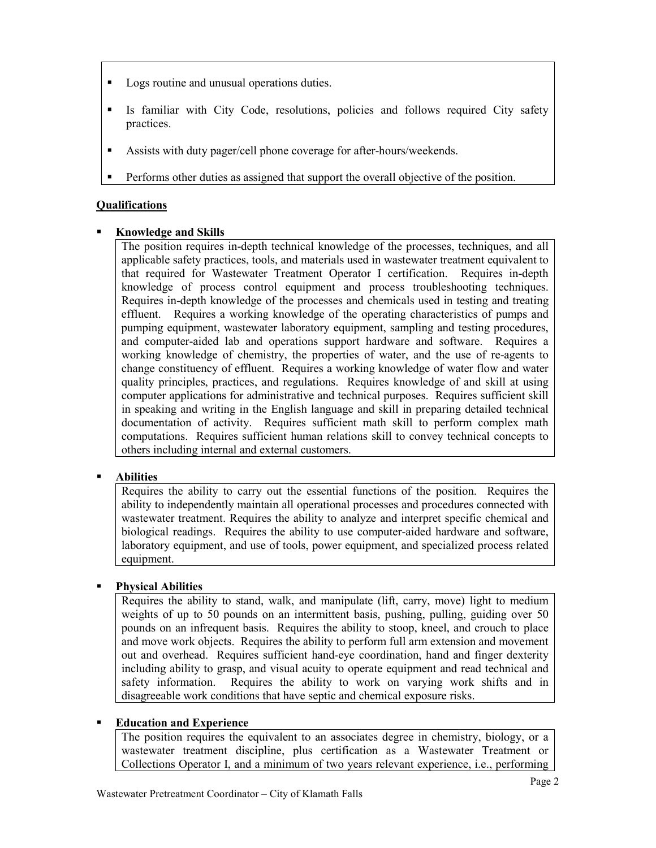- Logs routine and unusual operations duties.
- Is familiar with City Code, resolutions, policies and follows required City safety practices.
- Assists with duty pager/cell phone coverage for after-hours/weekends.
- Performs other duties as assigned that support the overall objective of the position.

### **Qualifications**

#### **Knowledge and Skills**

The position requires in-depth technical knowledge of the processes, techniques, and all applicable safety practices, tools, and materials used in wastewater treatment equivalent to that required for Wastewater Treatment Operator I certification. Requires in-depth knowledge of process control equipment and process troubleshooting techniques. Requires in-depth knowledge of the processes and chemicals used in testing and treating effluent. Requires a working knowledge of the operating characteristics of pumps and pumping equipment, wastewater laboratory equipment, sampling and testing procedures, and computer-aided lab and operations support hardware and software. Requires a working knowledge of chemistry, the properties of water, and the use of re-agents to change constituency of effluent. Requires a working knowledge of water flow and water quality principles, practices, and regulations. Requires knowledge of and skill at using computer applications for administrative and technical purposes. Requires sufficient skill in speaking and writing in the English language and skill in preparing detailed technical documentation of activity. Requires sufficient math skill to perform complex math computations. Requires sufficient human relations skill to convey technical concepts to others including internal and external customers.

# **Abilities**

Requires the ability to carry out the essential functions of the position. Requires the ability to independently maintain all operational processes and procedures connected with wastewater treatment. Requires the ability to analyze and interpret specific chemical and biological readings. Requires the ability to use computer-aided hardware and software, laboratory equipment, and use of tools, power equipment, and specialized process related equipment.

# **Physical Abilities**

Requires the ability to stand, walk, and manipulate (lift, carry, move) light to medium weights of up to 50 pounds on an intermittent basis, pushing, pulling, guiding over 50 pounds on an infrequent basis. Requires the ability to stoop, kneel, and crouch to place and move work objects. Requires the ability to perform full arm extension and movement out and overhead. Requires sufficient hand-eye coordination, hand and finger dexterity including ability to grasp, and visual acuity to operate equipment and read technical and safety information. Requires the ability to work on varying work shifts and in disagreeable work conditions that have septic and chemical exposure risks.

#### **Education and Experience**

The position requires the equivalent to an associates degree in chemistry, biology, or a wastewater treatment discipline, plus certification as a Wastewater Treatment or Collections Operator I, and a minimum of two years relevant experience, i.e., performing